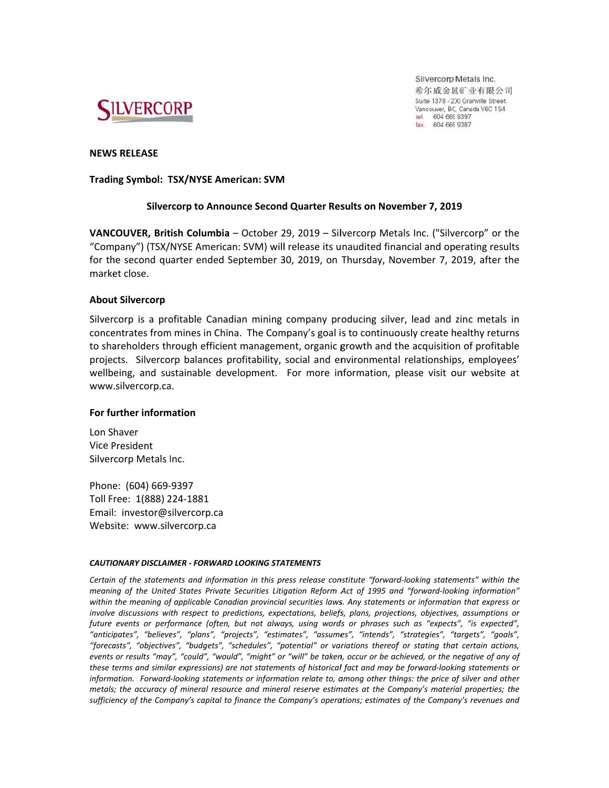

Silvercorp Metals Inc. 希尔威金属矿业有限公司 Suite 1378 - 200 Granville Street Vancouver, BC, Canada V6C 1S4 tel. 604 669 9397<br>fax. 604 669 9387

## **NEWS RELEASE**

**Trading Symbol: TSX/NYSE American: SVM** 

# Silvercorp to Announce Second Quarter Results on November 7, 2019

VANCOUVER, British Columbia - October 29, 2019 - Silvercorp Metals Inc. ("Silvercorp" or the "Company") (TSX/NYSE American: SVM) will release its unaudited financial and operating results for the second quarter ended September 30, 2019, on Thursday, November 7, 2019, after the market close.

## **About Silvercorp**

Silvercorp is a profitable Canadian mining company producing silver, lead and zinc metals in concentrates from mines in China. The Company's goal is to continuously create healthy returns to shareholders through efficient management, organic growth and the acquisition of profitable projects. Silvercorp balances profitability, social and environmental relationships, employees' wellbeing, and sustainable development. For more information, please visit our website at www.silvercorp.ca.

## For further information

Lon Shaver **Vice President** Silvercorp Metals Inc.

Phone: (604) 669-9397 Toll Free: 1(888) 224-1881 Email: investor@silvercorp.ca Website: www.silvercorp.ca

#### CAUTIONARY DISCLAIMER - FORWARD LOOKING STATEMENTS

Certain of the statements and information in this press release constitute "forward-looking statements" within the meaning of the United States Private Securities Litigation Reform Act of 1995 and "forward-looking information" within the meaning of applicable Canadian provincial securities laws. Any statements or information that express or involve discussions with respect to predictions, expectations, beliefs, plans, projections, objectives, assumptions or future events or performance (often, but not always, using words or phrases such as "expects", "is expected", ,<br>"anticipates", "believes", "plans", "projects", "estimates", "assumes", "intends", "strategies", "targets", "goals",<br>"forecasts", "objectives", "budgets", "schedules", "potential" or variations thereof or stating that ce events or results "may", "could", "would", "might" or "will" be taken, occur or be achieved, or the negative of any of these terms and similar expressions) are not statements of historical fact and may be forward-looking statements or information. Forward-looking statements or information relate to, among other things: the price of silver and other metals; the accuracy of mineral resource and mineral reserve estimates at the Company's material properties; the sufficiency of the Company's capital to finance the Company's operations; estimates of the Company's revenues and